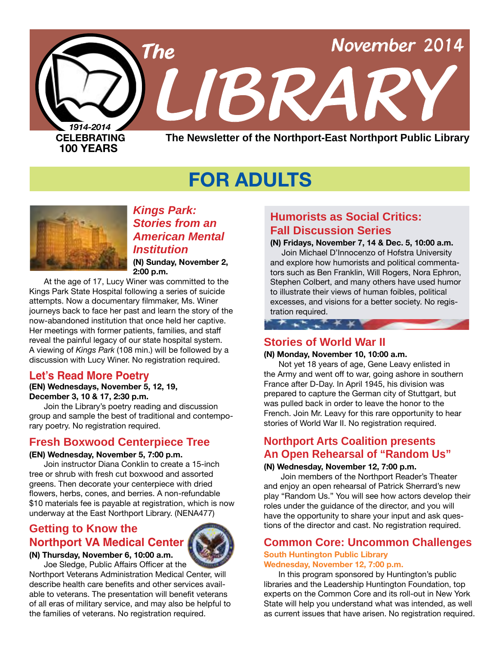

# **FOR ADULTS**



## *Kings Park: Stories from an American Mental Institution*

**(N) Sunday, November 2, 2:00 p.m.**

At the age of 17, Lucy Winer was committed to the Kings Park State Hospital following a series of suicide attempts. Now a documentary filmmaker, Ms. Winer journeys back to face her past and learn the story of the now-abandoned institution that once held her captive. Her meetings with former patients, families, and staff reveal the painful legacy of our state hospital system. A viewing of *Kings Park* (108 min.) will be followed by a discussion with Lucy Winer. No registration required.

## **Let's Read More Poetry**

### **(EN) Wednesdays, November 5, 12, 19, December 3, 10 & 17, 2:30 p.m.**

Join the Library's poetry reading and discussion group and sample the best of traditional and contemporary poetry. No registration required.

## **Fresh Boxwood Centerpiece Tree**

### **(EN) Wednesday, November 5, 7:00 p.m.**

Join instructor Diana Conklin to create a 15-inch tree or shrub with fresh cut boxwood and assorted greens. Then decorate your centerpiece with dried flowers, herbs, cones, and berries. A non-refundable \$10 materials fee is payable at registration, which is now underway at the East Northport Library. [\(NENA477\)](http://alpha2.suffolk.lib.ny.us/search/?searchtype=X&SORT=D&searcharg=nena477&searchscope=43)

## **Getting to Know the Northport VA Medical Center**



**(N) Thursday, November 6, 10:00 a.m.** Joe Sledge, Public Affairs Officer at the

Northport Veterans Administration Medical Center, will describe health care benefits and other services available to veterans. The presentation will benefit veterans of all eras of military service, and may also be helpful to the families of veterans. No registration required.

# **Humorists as Social Critics: Fall Discussion Series**

**(N) Fridays, November 7, 14 & Dec. 5, 10:00 a.m.**

 Join Michael D'Innocenzo of Hofstra University and explore how humorists and political commentators such as Ben Franklin, Will Rogers, Nora Ephron, Stephen Colbert, and many others have used humor to illustrate their views of human foibles, political excesses, and visions for a better society. No registration required.

## **Stories of World War II**

\* \* \* \* \* \*

### **(N) Monday, November 10, 10:00 a.m.**

Not yet 18 years of age, Gene Leavy enlisted in the Army and went off to war, going ashore in southern France after D-Day. In April 1945, his division was prepared to capture the German city of Stuttgart, but was pulled back in order to leave the honor to the French. Join Mr. Leavy for this rare opportunity to hear stories of World War II. No registration required.

## **Northport Arts Coalition presents An Open Rehearsal of "Random Us"**

### **(N) Wednesday, November 12, 7:00 p.m.**

 Join members of the Northport Reader's Theater and enjoy an open rehearsal of Patrick Sherrard's new play "Random Us." You will see how actors develop their roles under the guidance of the director, and you will have the opportunity to share your input and ask questions of the director and cast. No registration required.

## **Common Core: Uncommon Challenges**

### **South Huntington Public Library Wednesday, November 12, 7:00 p.m.**

In this program sponsored by Huntington's public libraries and the Leadership Huntington Foundation, top experts on the Common Core and its roll-out in New York State will help you understand what was intended, as well as current issues that have arisen. No registration required.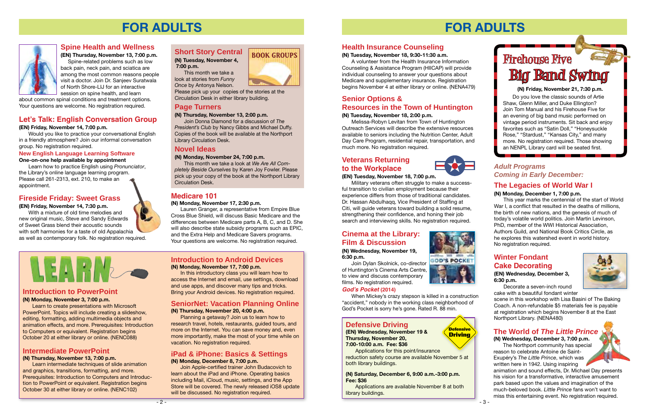## **Short Story Central**

**(N) Tuesday, November 4, 7:00 p.m.**

This month we take a look at stories from *Funny Once* by Antonya Nelson.

Please pick up your copies of the stories at the Circulation Desk in either library building.

## **Page Turners**

### **(N) Thursday, November 13, 2:00 p.m.**

Join Donna Diamond for a discussion of *The President's Club* by Nancy Gibbs and Michael Duffy. Copies of the book will be available at the Northport Library Circulation Desk.

## **Novel Ideas**

### **(N) Monday, November 24, 7:00 p.m.**

This month we take a look at *We Are All Completely Beside Ourselves* by Karen Joy Fowler. Please pick up your copy of the book at the Northport Library Circulation Desk.



# **FOR ADULTS**



### **Introduction to PowerPoint**

### **(N) Monday, November 3, 7:00 p.m.**

Learn to create presentations with Microsoft PowerPoint. Topics will include creating a slideshow, editing, formatting, adding multimedia objects and animation effects, and more. Prerequisites: Introduction to Computers or equivalent. Registration begins October 20 at either library or online. [\(NENC088\)](http://alpha2.suffolk.lib.ny.us/search/?searchtype=X&SORT=D&searcharg=nenc088&searchscope=43)

> Join Apple-certified trainer John Budacovich to learn about the iPad and iPhone. Operating basics including Mail, iCloud, music, settings, and the App Store will be covered. The newly released iOS8 update will be discussed. No registration required.

## **Spine Health and Wellness**

**(EN) Thursday, November 13, 7:00 p.m.** Spine-related problems such as low

back pain, neck pain, and sciatica are among the most common reasons people visit a doctor. Join Dr. Sanjeev Suratwala of North Shore-LIJ for an interactive session on spine health, and learn

about common spinal conditions and treatment options. Your questions are welcome. No registration required.

## **Fireside Friday: Sweet Grass**

### **(EN) Friday, November 14, 7:30 p.m.**

With a mixture of old time melodies and new original music, Steve and Sandy Edwards of Sweet Grass blend their acoustic sounds with soft harmonies for a taste of old Appalachia as well as contemporary folk. No registration required.

### **iPad & iPhone: Basics & Settings (N) Monday, December 8, 7:00 p.m.**

## **Intermediate PowerPoint**

### **(N) Thursday, November 13, 7:00 p.m.**

Learn intermediate techniques of slide animation and graphics, transitions, formatting, and more. Prerequisites: Introduction to Computers and Introduction to PowerPoint or equivalent. Registration begins October 30 at either library or online. [\(NENC102\)](http://alpha2.suffolk.lib.ny.us/search/?searchtype=X&SORT=D&searcharg=nenc102&searchscope=43)

### **Introduction to Android Devices (N) Monday, November 17, 7:00 p.m.**

In this introductory class you will learn how to access the Internet and email, use settings, download and use apps, and discover many tips and tricks. Bring your Android devices. No registration required.

### **SeniorNet: Vacation Planning Online (N) Thursday, November 20, 4:00 p.m.**

Planning a getaway? Join us to learn how to research travel, hotels, restaurants, guided tours, and more on the Internet. You can save money and, even more importantly, make the most of your time while on vacation. No registration required.

## **Let's Talk: English Conversation Group**

### **(EN) Friday, November 14, 7:00 p.m.**

Would you like to practice your conversational English in a friendly atmosphere? Join our informal conversation group. No registration required.

### **New English Language Learning Software**

### **One-on-one help available by appointment**

Learn how to practice English using *Pronunciator*, the Library's online language learning program. Please call 261-2313, ext. 210, to make an appointment.

## **Medicare 101**

### **(N) Monday, November 17, 2:30 p.m.**

Lauren Granger, a representative from Empire Blue Cross Blue Shield, will discuss Basic Medicare and the differences between Medicare parts A, B, C, and D. She will also describe state subsidy programs such as EPIC, and the Extra Help and Medicare Savers programs. Your questions are welcome. No registration required.





# **FOR ADULTS**

## **Health Insurance Counseling**

### **(N) Tuesday, November 18, 9:30-11:30 a.m.**

A volunteer from the Health Insurance Information Counseling & Assistance Program (HIICAP) will provide individual counseling to answer your questions about Medicare and supplementary insurance. Registration begins November 4 at either library or online. [\(NENA479\)](http://alpha2.suffolk.lib.ny.us/search/?searchtype=X&SORT=D&searcharg=nena479&searchscope=43)

## **Senior Options & Resources in the Town of Huntington**

### **(N) Tuesday, November 18, 2:00 p.m.**

Melissa-Robyn Levitan from Town of Huntington Outreach Services will describe the extensive resources available to seniors including the Nutrition Center, Adult Day Care Program, residential repair, transportation, and much more. No registration required.

## **Veterans Returning to the Workplace**

## **(EN) Tuesday, November 18, 7:00 p.m.**

Military veterans often struggle to make a successful transition to civilian employment because their experience differs from those of traditional candidates. Dr. Hassan Abdulhaqq, Vice President of Staffing at Citi, will guide veterans toward building a solid resume, strengthening their confidence, and honing their job search and interviewing skills. No registration required.

> **Defensive Driving**

## **Defensive Driving**

**(EN) Wednesday, November 19 & Thursday, November 20, 7:00-10:00 a.m. Fee: \$36**

Applications for this point/insurance reduction safety course are available November 5 at both library buildings.

**(N) Saturday, December 6, 9:00 a.m.-3:00 p.m. Fee: \$36**

Applications are available November 8 at both library buildings.

**(N) Friday, November 21, 7:30 p.m.**



Do you love the classic sounds of Artie Shaw, Glenn Miller, and Duke Ellington? Join Tom Manual and his Firehouse Five for an evening of big band music performed on vintage period instruments. Sit back and enjoy favorites such as "Satin Doll," "Honeysuckle Rose," "Stardust," "Kansas City," and many more. No registration required. Those showing an NENPL Library card will be seated first.

## **The Legacies of World War I**

### **(N) Monday, December 1, 7:00 p.m.**

This year marks the centennial of the start of World War I, a conflict that resulted in the deaths of millions, the birth of new nations, and the genesis of much of today's volatile world politics. Join Martin Levinson, PhD, member of the WWI Historical Association, Authors Guild, and National Book Critics Circle, as he explores this watershed event in world history. No registration required.

## *Adult Programs Coming in Early December:*

## **Winter Fondant Cake Decorating**

### **(EN) Wednesday, December 3, 6:30 p.m.**

Decorate a seven-inch round cake with a beautiful fondant winter

scene in this workshop with Lisa Basini of The Baking Coach. A non-refundable \$5 materials fee is payable at registration which begins November 8 at the East Northport Library. [\(NENA480\)](http://alpha2.suffolk.lib.ny.us/search/?searchtype=X&SORT=D&searcharg=nena480&searchscope=43)



## **Cinema at the Library: Film & Discussion**

**(N) Wednesday, November 19, 6:30 p.m.**

Join Dylan Skolnick, co-director of Huntington's Cinema Arts Centre, to view and discuss contemporary films. No registration required.



## **God's Pocket (2014)**

When Mickey's crazy stepson is killed in a construction "accident," nobody in the working class neighborhood of God's Pocket is sorry he's gone. Rated R. 88 min.

## **The World of** *The Little Prince*

**(N) Wednesday, December 3, 7:00 p.m.** The Northport community has special reason to celebrate Antoine de Saint-Exupéry's *The Little Prince*, which was written here in 1942. Using inspiring

animation and sound effects, Dr. Michael Day presents his vision for a transformative, interactive amusement park based upon the values and imagination of the much-beloved book. *Little Prince* fans won't want to miss this entertaining event. No registration required.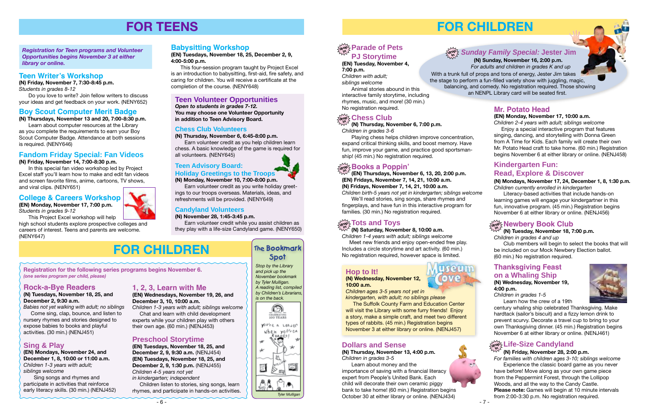**(EN) Tuesday, November 4, 7:00 p.m.** *Children with adult;* 

*siblings welcome* Animal stories abound in this

interactive family storytime, including rhymes, music, and more! (30 min.) No registration required.

# $\lim\limits_{\Delta t \to 0} \frac{1}{2}$  Chess Club

# **FOR CHILDREN**

 **(N) Sunday, November 16, 2:00 p.m.**  *For adults and children in grades K and up* With a trunk full of props and tons of energy, Jester Jim takes the stage to perform a fun-filled variety show with juggling, magic, balancing, and comedy. No registration required. Those showing an NENPL Library card will be seated first.

#### $\frac{1}{2}$  **Parade of Pets PJ Storytime in**

## **Dollars and Sense**

**(N) Thursday, November 13, 4:00 p.m.** *Children in grades 3-5*

Learn about money and the importance of saving with a financial literacy expert from People's United Bank. Each child will decorate their own ceramic piggy bank to take home! (60 min.) Registration begins October 30 at either library or online. [\(NENJ434\)](http://alpha2.suffolk.lib.ny.us/search/?searchtype=X&SORT=D&searcharg=nenj434&searchscope=43)





*Children in grades 4 and up*

#### **(N) Tuesday, November 18, 7:00 p.m. in**

Club members will begin to select the books that will be included on our Mock Newbery Election ballot. (60 min.) No registration required.





**(EN) Thursdays, November 6, 13, 20, 2:00 p.m. (EN) Fridays, November 7, 14, 21, 10:00 a.m. (N) Fridays, November 7, 14, 21, 10:00 a.m.**

*Children birth-5 years not yet in kindergarten; siblings welcome* We'll read stories, sing songs, share rhymes and fingerplays, and have fun in this interactive program for families. (30 min.) No registration required.

**(N) Thursday, November 6, 7:00 p.m.** *Children in grades 3-6*

Playing chess helps children improve concentration, expand critical thinking skills, and boost memory. Have fun, improve your game, and practice good sportsmanship! (45 min.) No registration required.

**(N) Saturday, November 8, 10:00 a.m.**

*Children 1-4 years with adult; siblings welcome* Meet new friends and enjoy open-ended free play. Includes a circle storytime and art activity. (60 min.) No registration required, however space is limited.

#### $\frac{1}{\alpha! \alpha!}$ ટ્ર Books a Poppin' **in**

#### $\frac{1}{\alpha! \alpha^2}$  Tots and Toys **in**

#### $\frac{L}{\log 2}$ Life-Size Candyland **in**

### **(N) Friday, November 28, 2:00 p.m.**

## *Sunday Family Special:* **Jester Jim drop in**

*For families with children ages 3-10; siblings welcome*  Experience the classic board game as you never have before! Move along as your own game piece from the Peppermint Forest, through the Lollipop Woods, and all the way to the Candy Castle. **Please note:** Games will begin at 10 minute intervals from 2:00-3:30 p.m. No registration required.

### **Thanksgiving Feast on a Whaling Ship (N) Wednesday, November 19, 4:00 p.m.**

*Children in grades 1-5*

Learn how the crew of a 19th



century whaling ship celebrated Thanksgiving. Make hardtack (sailor's biscuit) and a fizzy lemon drink to prevent scurvy. Decorate a travel cup to bring to your own Thanksgiving dinner. (45 min.) Registration begins November 6 at either library or online. ([NENJ461\)](http://alpha2.suffolk.lib.ny.us/search/?searchtype=X&SORT=D&searcharg=nenj461&searchscope=43)

## **Mr. Potato Head**

### **(EN) Monday, November 17, 10:00 a.m.**

*Children 2-4 years with adult; siblings welcome* Enjoy a special interactive program that features singing, dancing, and storytelling with Donna Green from A Time for Kids. Each family will create their own Mr. Potato Head craft to take home. (60 min.) Registration begins November 6 at either library or online. [\(NENJ458\)](http://alpha2.suffolk.lib.ny.us/search/?searchtype=X&SORT=D&searcharg=nenj458&searchscope=43)

## **Hop to It!**

**(N) Wednesday, November 12, 10:00 a.m.**

*Children ages 3-5 years not yet in kindergarten, with adult; no siblings please*

 The Suffolk County Farm and Education Center will visit the Library with some furry friends! Enjoy a story, make a simple craft, and meet two different types of rabbits. (45 min.) Registration begins November 3 at either library or online. ([NENJ457](http://alpha2.suffolk.lib.ny.us/search/?searchtype=X&SORT=D&searcharg=nenj457&searchscope=43))

## **Kindergarten Fun: Read, Explore & Discover**

**(N) Mondays, November 17, 24, December 1, 8, 1:30 p.m.** *Children currently enrolled in kindergarten*

**KYONI** 

Literacy-based activities that include hands-on learning games will engage your kindergartner in this fun, innovative program. (45 min.) Registration begins November 6 at either library or online. ([NENJ456\)](http://alpha2.suffolk.lib.ny.us/search/?searchtype=X&SORT=D&searcharg=nenj456&searchscope=43)

## $\frac{d}{d\sigma}$  **Newbery Book Club**

# **FOR CHILDREN**

## **Fandom Friday Special: Fan Videos**

**(N) Friday, November 14, 7:00-8:30 p.m.**

In this special fan video workshop led by Project Excel staff you'll learn how to make and edit fan videos and screen favorite films, anime, cartoons, TV shows, and viral clips. [\(NENY651](http://alpha2.suffolk.lib.ny.us/search/?searchtype=X&SORT=D&searcharg=neny651&searchscope=43))

## **Teen Volunteer Opportunities**

*Open to students in grades 7-12.*  **You may choose one Volunteer Opportunity in addition to Teen Advisory Board.**

*Registration for Teen programs and Volunteer Opportunities begins November 3 at either library or online.*

# **FOR TEENS**

**Registration for the following series programs begins November 6.** *(one series program per child, please)*

## **Sing & Play**

**(EN) Mondays, November 24, and December 1, 8, 10:00 or 11:00 a.m.** *Children 1-3 years with adult; siblings welcome*

 Sing songs and rhymes and participate in activities that reinforce early literacy skills. (30 min.) [\(NENJ452\)](http://alpha2.suffolk.lib.ny.us/search/?searchtype=X&SORT=D&searcharg=nenj452&searchscope=43) *Stop by the Library and pick up the November bookmark by Tyler Mulligan.* 

*A reading list, compiled is on the back.*





















# **Spot**

## **Preschool Storytime**

**(EN) Tuesdays, November 18, 25, and December 2, 9, 9:30 a.m.** [\(NENJ454\)](http://alpha2.suffolk.lib.ny.us/search/?searchtype=X&SORT=D&searcharg=nenj454&searchscope=43) **(EN) Tuesdays, November 18, 25, and December 2, 9, 1:30 p.m.** ([NENJ455\)](http://alpha2.suffolk.lib.ny.us/search/?searchtype=X&SORT=D&searcharg=nenj455&searchscope=43) *Children 4-5 years not yet in kindergarten; independent*

 Children listen to stories, sing songs, learn rhymes, and participate in hands-on activities.

## **Rock-a-Bye Readers**

### **(N) Tuesdays, November 18, 25, and December 2, 9:30 a.m.**

*Babies not yet walking with adult; no siblings* Come sing, clap, bounce, and listen to

nursery rhymes and stories designed to expose babies to books and playful activities. (30 min.) ([NENJ451](http://alpha2.suffolk.lib.ny.us/search/?searchtype=X&SORT=D&searcharg=nenj451&searchscope=43))

## **1, 2, 3, Learn with Me**

### **(EN) Wednesdays, November 19, 26, and December 3, 10, 10:00 a.m.**

*Children 1-3 years with adult; siblings welcome* Chat and learn with child development

experts while your children play with others their own age. (60 min.) ([NENJ453\)](http://alpha2.suffolk.lib.ny.us/search/?searchtype=X&SORT=D&searcharg=nenj453&searchscope=43)

## **Teen Writer's Workshop**

**(N) Friday, November 7, 7:30-8:45 p.m.** *Students in grades 8-12*

Do you love to write? Join fellow writers to discuss your ideas and get feedback on your work. ([NENY652](http://alpha2.suffolk.lib.ny.us/search/?searchtype=X&SORT=D&searcharg=neny652&searchscope=43))

### **Boy Scout Computer Merit Badge**

**(N) Thursdays, November 13 and 20, 7:00-8:30 p.m.**

Learn about computer resources at the Library as you complete the requirements to earn your Boy Scout Computer Badge. Attendance at both sessions is required. ([NENY646\)](http://alpha2.suffolk.lib.ny.us/search/?searchtype=X&SORT=D&searcharg=neny646&searchscope=43)

## **College & Careers Workshop**

**(EN) Monday, November 17, 7:00 p.m.**

*Students in grades 9-12*

This Project Excel workshop will help high school students explore prospective colleges and careers of interest. Teens and parents are welcome. ([NENY647](http://alpha2.suffolk.lib.ny.us/search/?searchtype=X&SORT=D&searcharg=neny647&searchscope=43))

## **Babysitting Workshop**

**(EN) Tuesdays, November 18, 25, December 2, 9, 4:00-5:00 p.m.**

This four-session program taught by Project Excel is an introduction to babysitting, first-aid, fire safety, and caring for children. You will receive a certificate at the completion of the course. [\(NENY648](http://alpha2.suffolk.lib.ny.us/search/?searchtype=X&SORT=D&searcharg=neny648&searchscope=43))

### **Chess Club Volunteers**

**(N) Thursday, November 6, 6:45-8:00 p.m.**

Earn volunteer credit as you help children learn chess. A basic knowledge of the game is required for all volunteers. ([NENY645\)](http://alpha2.suffolk.lib.ny.us/search/?searchtype=X&SORT=D&searcharg=neny645&searchscope=43)

# **Teen Advisory Board:**

### **Holiday Greetings to the Troops (N) Monday, November 10, 7:00-8:00 p.m.**

Earn volunteer credit as you write holiday greetings to our troops overseas. Materials, ideas, and refreshments will be provided. [\(NENY649\)](http://alpha2.suffolk.lib.ny.us/search/?searchtype=X&SORT=D&searcharg=neny649&searchscope=43)

### **Candyland Volunteers**

**(N) November 28, 1:45-3:45 p.m.**

Earn volunteer credit while you assist children as they play with a life-size Candyland game. [\(NENY650](http://alpha2.suffolk.lib.ny.us/search/?searchtype=X&SORT=D&searcharg=neny650&searchscope=43))